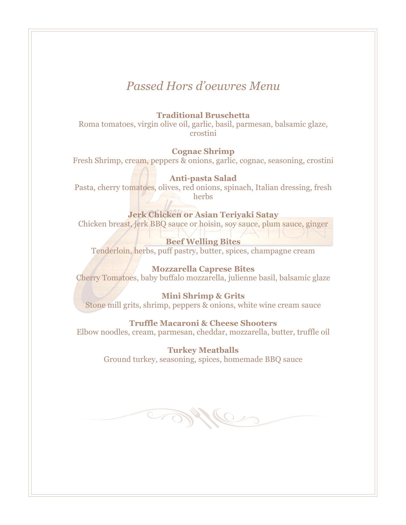# *Passed Hors d'oeuvres Menu*

# **Traditional Bruschetta**

Roma tomatoes, virgin olive oil, garlic, basil, parmesan, balsamic glaze, crostini

# **Cognac Shrimp**

Fresh Shrimp, cream, peppers & onions, garlic, cognac, seasoning, crostini

# **Anti-pasta Salad**

Pasta, cherry tomatoes, olives, red onions, spinach, Italian dressing, fresh herbs

#### **Jerk Chicken or Asian Teriyaki Satay**

Chicken breast, jerk BBQ sauce or hoisin, soy sauce, plum sauce, ginger

# **Beef Welling Bites**

Tenderloin, herbs, puff pastry, butter, spices, champagne cream

# **Mozzarella Caprese Bites**

Cherry Tomatoes, baby buffalo mozzarella, julienne basil, balsamic glaze

#### **Mini Shrimp & Grits**

Stone mill grits, shrimp, peppers & onions, white wine cream sauce

#### **Truffle Macaroni & Cheese Shooters**

Elbow noodles, cream, parmesan, cheddar, mozzarella, butter, truffle oil

#### **Turkey Meatballs**

Ground turkey, seasoning, spices, homemade BBQ sauce

Me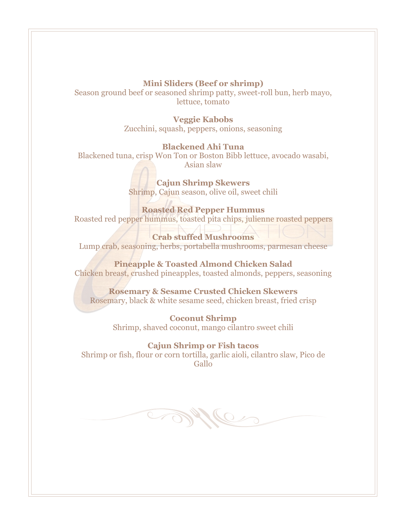### **Mini Sliders (Beef or shrimp)**

Season ground beef or seasoned shrimp patty, sweet-roll bun, herb mayo, lettuce, tomato

#### **Veggie Kabobs**

Zucchini, squash, peppers, onions, seasoning

## **Blackened Ahi Tuna**

Blackened tuna, crisp Won Ton or Boston Bibb lettuce, avocado wasabi, Asian slaw

> **Cajun Shrimp Skewers** Shrimp, Cajun season, olive oil, sweet chili

#### **Roasted Red Pepper Hummus**

Roasted red pepper hummus, toasted pita chips, julienne roasted peppers

**Crab stuffed Mushrooms** Lump crab, seasoning, herbs, portabella mushrooms, parmesan cheese

**Pineapple & Toasted Almond Chicken Salad** Chicken breast, crushed pineapples, toasted almonds, peppers, seasoning

**Rosemary & Sesame Crusted Chicken Skewers** Rosemary, black & white sesame seed, chicken breast, fried crisp

> **Coconut Shrimp** Shrimp, shaved coconut, mango cilantro sweet chili

**Cajun Shrimp or Fish tacos** Shrimp or fish, flour or corn tortilla, garlic aioli, cilantro slaw, Pico de Gallo

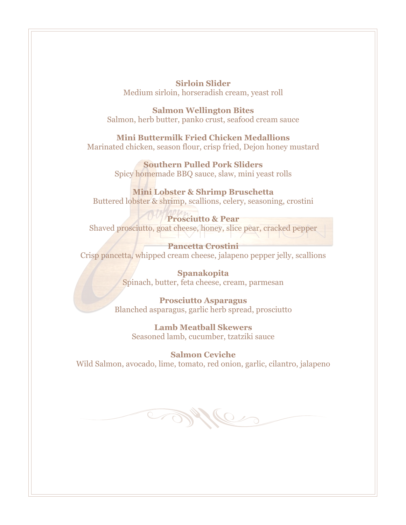**Sirloin Slider** Medium sirloin, horseradish cream, yeast roll

**Salmon Wellington Bites** Salmon, herb butter, panko crust, seafood cream sauce

**Mini Buttermilk Fried Chicken Medallions** Marinated chicken, season flour, crisp fried, Dejon honey mustard

> **Southern Pulled Pork Sliders** Spicy homemade BBQ sauce, slaw, mini yeast rolls

#### **Mini Lobster & Shrimp Bruschetta** Buttered lobster & shrimp, scallions, celery, seasoning, crostini

**Prosciutto & Pear**

Shaved prosciutto, goat cheese, honey, slice pear, cracked pepper

**Pancetta Crostini** Crisp pancetta, whipped cream cheese, jalapeno pepper jelly, scallions

> **Spanakopita** Spinach, butter, feta cheese, cream, parmesan

**Prosciutto Asparagus** Blanched asparagus, garlic herb spread, prosciutto

**Lamb Meatball Skewers** Seasoned lamb, cucumber, tzatziki sauce

**Salmon Ceviche** Wild Salmon, avocado, lime, tomato, red onion, garlic, cilantro, jalapeno